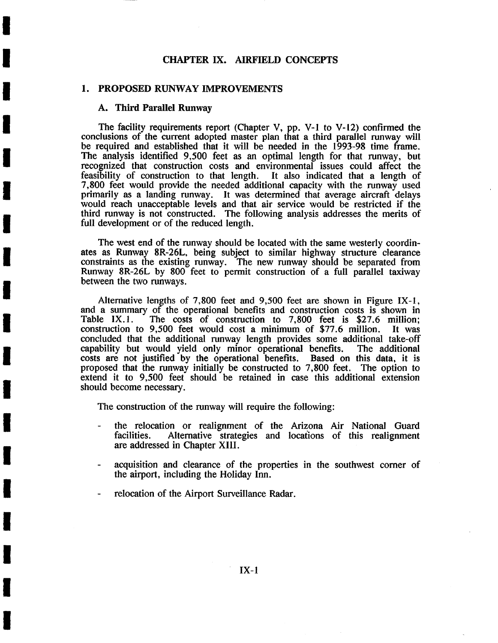# CHAPTER IX. AIRFIELD CONCEPTS

## 1. PROPOSED RUNWAY IMPROVEMENTS

## **A. Third Parallel Runway**

**I** 

**I** 

**!** 

**I** 

**I** 

**I** 

**I** 

**I** 

**I** 

**I** 

**!** 

**I** 

**I** 

**!** 

**i** 

**I** 

**I** 

**I** 

The facility requirements report (Chapter V, pp. V-I to V-12) confirmed the conclusions of the current adopted master plan that a third parallel runway will be required and established that it will be needed in the 1993-98 time frame. The analysis identified 9,500 feet as an optimal length for that runway, but recognized that construction costs and environmental issues could affect the feasibility of construction to that length. It also indicated that a length of 7,800 feet would provide the needed additional capacity with the runway used primarily as a landing runway. It was determined that average aircraft delays would reach unacceptable levels and that air service would be restricted if the third runway is not constructed. The following analysis addresses the merits of full development or of the reduced length.

The west end of the runway should be located with the same westerly coordinates as Runway 8R-26L, being subject to similar highway structure clearance constraints as the existing runway. The new runway should be separated from Runway 8R-26L by 800 feet to permit construction of a full parallel taxiway between the two runways.

Alternative lengths of 7,800 feet and 9,500 feet are shown in Figure IX-I, and a summary of the operational benefits and construction costs is shown in Table  $IX.1$ . The costs of construction to 7.800 feet is \$27.6 million: The costs of construction to 7,800 feet is  $$27.6$  million; construction to 9,500 feet would cost a minimum of \$77.6 million. It was concluded that the additional runway length provides some additional take-off capability but would yield only minor operational benefits. costs are not justified by the operational benefits. Based on this data, it is proposed that the runway initially be constructed to 7,800 feet. The option to extend it to 9,500 feet should be retained in case this additional extension should become necessary.

The construction of the runway will require the following:

- the relocation or realignment of the Arizona Air National Guard facilities. Alternative strategies and locations of this realignment are addressed in Chapter XIII.
- acquisition and clearance of the properties in the southwest corner of the airport, including the Holiday Inn.
- relocation of the Airport Surveillance Radar.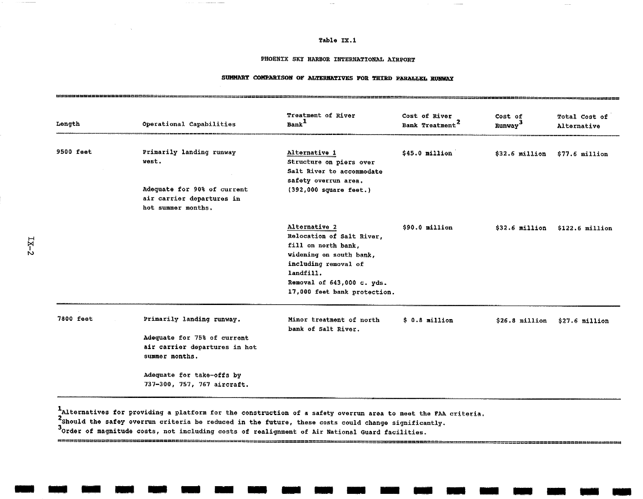#### Table IX.1

#### PHOENIX SKY HARBOR INTERNATIONAL ATRPORT

### SUMMARY COMPARISON OF ALTERNATIVES FOR THIRD PARALLEL RUNWAY

| Operational Capabilities                                                                                            | Treatment of River<br>Bank <sup>1</sup>                                                                                                                                                         | Cost of River<br>Bank Treatment <sup>2</sup> | Cost of<br>Runway <sup>3</sup> | Total Cost of<br>Alternative |
|---------------------------------------------------------------------------------------------------------------------|-------------------------------------------------------------------------------------------------------------------------------------------------------------------------------------------------|----------------------------------------------|--------------------------------|------------------------------|
| Primarily landing runway<br>west.<br>Adequate for 90% of current<br>air carrier departures in<br>hot summer months. | Alternative 1<br>Structure on piers over<br>Salt River to accommodate<br>safety overrun area.<br>$(392,000$ square feet.)                                                                       | $$45.0$ million                              | $$32.6$ million                | $$77.6$ million              |
|                                                                                                                     | Alternative 2<br>Relocation of Salt River,<br>fill on north bank,<br>widening on south bank,<br>including removal of<br>landfill.<br>Removal of 643,000 c. yds.<br>17,000 feet bank protection. | $$90.0$ million                              | $$32.6$ million                | $$122.6$ million             |
| Primarily landing runway.<br>Adequate for 75% of current<br>air carrier departures in hot<br>summer months.         | Minor treatment of north<br>bank of Salt River.                                                                                                                                                 | $$0.8$ million                               | $$26.8$ million                | $$27.6$ million              |
|                                                                                                                     | Adequate for take-offs by<br>737-300, 757, 767 aircraft.                                                                                                                                        |                                              |                                |                              |

IAlternatlves for providing a platform for the construction of a safety overrun area to meet the ?AA criteria.

ssensensummensensensen

**m m m m m m u m m m m m m m m m m m m** 

2Should the safey overrun criteria be reduced in the future, these costs could change significantly.

3Dress and such the costs, not including costs of realignment of Air National Guard facilities.

That they want the track they done good book odds sear gang your sear, your your your your war, was your postposition.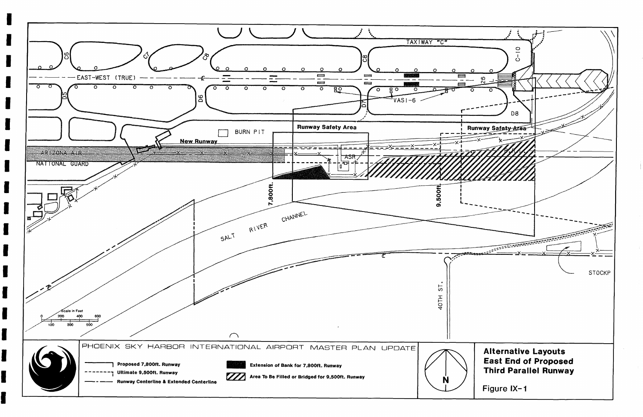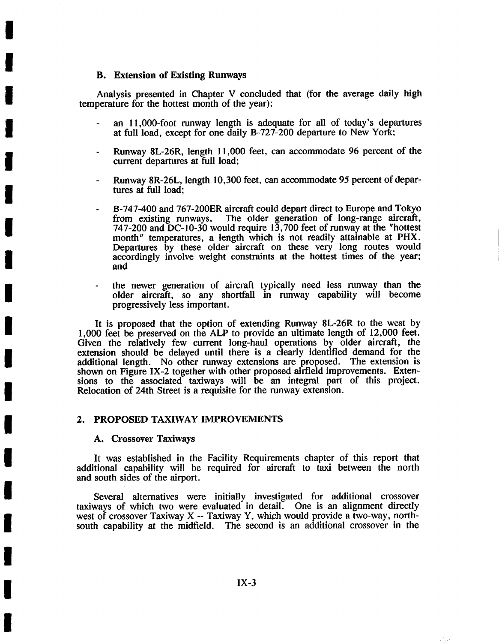## **B. Extension of Existing Runways**

**I** 

**!** 

**I** 

**I** 

**i** 

**I** 

**I** 

**I** 

**I** 

**I** 

**I** 

**I** 

**I** 

**I** 

**I** 

**I** 

**I** 

**I** 

**i** 

Analysis presented in Chapter V concluded that (for the average daily high temperature for the hottest month of the year):

- an 11,000-foot runway length is adequate for all of today's departures at full load, except for one dally B-727-200 departure to New York;
- Runway 8L-26R, length 11,000 feet, can accommodate 96 percent of the current departures at full load;
- Runway 8R-26L, length 10,300 feet, can accommodate 95 percent of departures at full load;
- B-747-400 and 767-200ER aircraft could depart direct to Europe and Tokyo from existing runways. The older generation of long-range aircraft, from existing runways. The older generation of long-range aircraft, 747-200 and DC-10-30 would require 13,700 feet of runway at the "hottest month" temperatures, a length which is not readily attainable at PHX. Departures by these older aircraft on these very long routes would accordingly involve weight constraints at the hottest times of the year; and
- the newer generation of aircraft typically need less runway than the older aircraft, so any shortfall in runway capability will become progressively less important.

It is proposed that the option of extending Runway 8L-26R to the west by 1,000 feet be preserved on the ALP to provide an ultimate length of 12,000 feet. Given the relatively few current long-haul operations by older aircraft, the extension should be delayed until there is a clearly identified demand for the additional length. No other runway extensions are proposed. The extension is shown on Figure IX-2 together with other proposed airfield improvements. Extensions to the associated taxiways will be an integral part of this project. Relocation of 24th Street is a requisite for the runway extension.

## 2. PROPOSED TAXIWAY IMPROVEMENTS

### A. Crossover Taxiways

It was established in the Facility Requirements chapter of this report that additional capability will be required for aircraft to taxi between the north and south sides of the airport.

Several alternatives were initially investigated for additional crossover taxiways of which two were evaluated in detail. One is an alignment directly west of crossover Taxiway X -- Taxiway Y, which would provide a two-way, northsouth capability at the midfield. The second is an additional crossover in the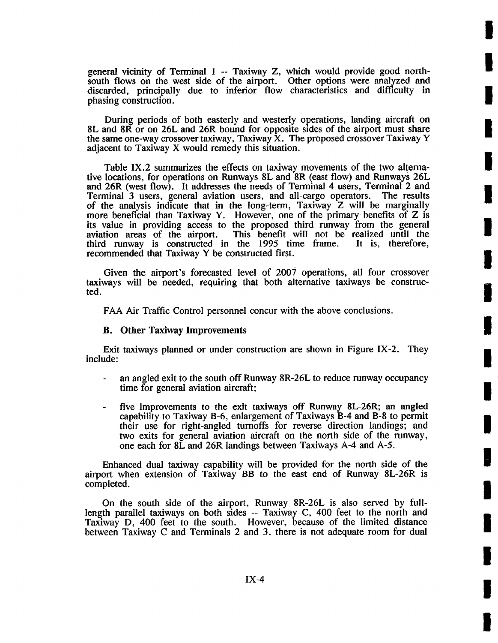general vicinity of Terminal 1 -- Taxiway Z, which would provide good northsouth flows on the west side of the airport. Other options were analyzed and discarded, principally due to inferior flow characteristics and difficulty in phasing construction.

**I** 

**I** 

**I** 

**I** 

**I** 

**I** 

**I** 

**I** 

**I** 

**I** 

**I** 

**I** 

**I** 

**I** 

**I** 

**I** 

**I** 

**I** 

**I** 

During periods of both easterly and westerly operations, landing aircraft on 8L and 8R or on 26L and 26R bound for opposite sides of the airport must share the same one-way crossover taxiway, Taxiway  $\dot{X}$ . The proposed crossover Taxiway Y adjacent to Taxiway X would remedy this situation.

Table IX.2 summarizes the effects on taxiway movements of the two alternative locations, for operations on Runways 8L and 8R (east flow) and Runways 26L and 26R (west flow). It addresses the needs of Terminal 4 users, Terminal 2 and  $Terminal$  3 users, general aviation users, and all-cargo operators. The results Terminal 3 users, general aviation users, and all-cargo operators. of the analysis indicate that in the long-term, Taxiway Z will be marginally more beneficial than Taxiway Y. However, one of the primary benefits of Z is its value in providing access to the proposed third runway from the general This benefit will not be realized until the the 1995 time frame. It is, therefore, third runway is constructed in the  $1995$  time frame. recommended that Taxiway Y be constructed first.

Given the airport's forecasted level of 2007 operations, all four crossover taxiways will be needed, requiring that both alternative taxiways be constructed.

FAA Air Traffic Control personnel concur with the above conclusions.

## **B. Other Taxiway Improvements**

Exit taxiways planned or under construction are shown in Figure IX-2. They include:

- an angled exit to the south off Runway 8R-26L to reduce runway occupancy time for general aviation aircraft;
- five improvements to the exit taxiways off Runway 8L-26R; an angled capability to Taxiway B-6, enlargement of Taxiways B-4 and B-8 to permit their use for right-angled turnoffs for reverse direction landings; and two exits for general aviation aircraft on the north side of the runway, one each for 8L and 26R landings between Taxiways A-4 and A-5.

Enhanced dual taxiway capability will be provided for the north side of the airport when extension ot Taxiway BB to the east end of Runway 8L-26R is completed.

On the south side of the airport, Runway 8R-26L is also served by fulllength parallel taxiways on both sides -- Taxiway C, 400 feet to the north and Taxiway D, 400 feet to the south. However, because of the limited distance between Taxiway C and Terminals 2 and 3, there is not adequate room for dual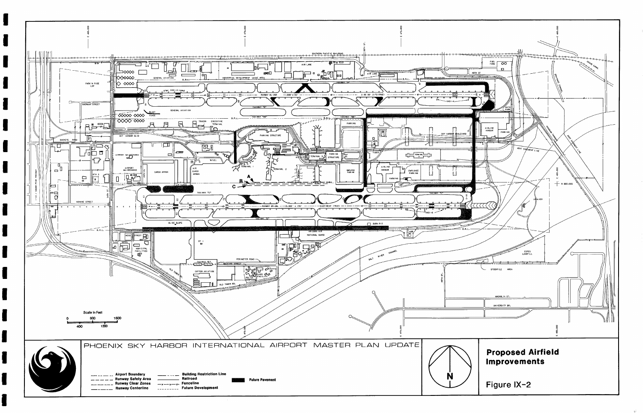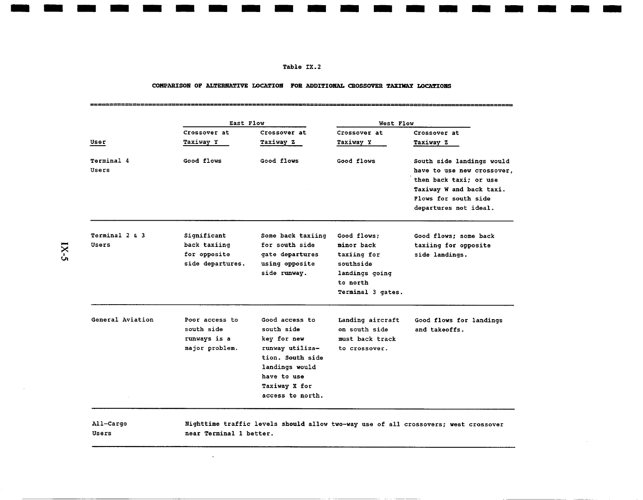#### Table IX.2

**m m m m m m m m m m m m m mm m m m m m** 

#### COMPARISON OF ALTERNATIVE LOCATION FOR ADDITIONAL CROSSOVER TAXIWAY LOCATIONS

| Crossover at<br>Taxiway Y<br>Good flows | Crossover at<br>Taxiway Z<br>Good flows                                                                                                                  | Crossover at<br>Taxiway Y<br>Good flows                                                                  | Crossover at<br>Taxiway Z                                                                                                         |
|-----------------------------------------|----------------------------------------------------------------------------------------------------------------------------------------------------------|----------------------------------------------------------------------------------------------------------|-----------------------------------------------------------------------------------------------------------------------------------|
|                                         |                                                                                                                                                          |                                                                                                          |                                                                                                                                   |
|                                         |                                                                                                                                                          |                                                                                                          | South side landings would                                                                                                         |
|                                         |                                                                                                                                                          |                                                                                                          | have to use new crossover,<br>then back taxi; or use<br>Taxiway W and back taxi.<br>Flows for south side<br>departures not ideal. |
|                                         | Some back taxiing<br>for south side<br>gate departures<br>using opposite<br>side runway.                                                                 | Good flows:<br>minor back<br>taxiing for<br>southside<br>landings going<br>to north<br>Terminal 3 gates. | Good flows: some back<br>taxiing for opposite<br>side landings.                                                                   |
|                                         | Good access to<br>south side<br>key for new<br>runway utiliza-<br>tion. South side<br>landings would<br>have to use<br>Taxiway X for<br>access to north. | Landing aircraft<br>on south side<br>must back track<br>to crossover.                                    | Good flows for landings<br>and takeoffs.                                                                                          |
|                                         | Significant<br>back taxiing<br>for opposite<br>side departures.<br>Poor access to<br>south side<br>runways is a<br>major problem.                        |                                                                                                          |                                                                                                                                   |

 $\ddot{\phantom{a}}$ 

 $IX-5$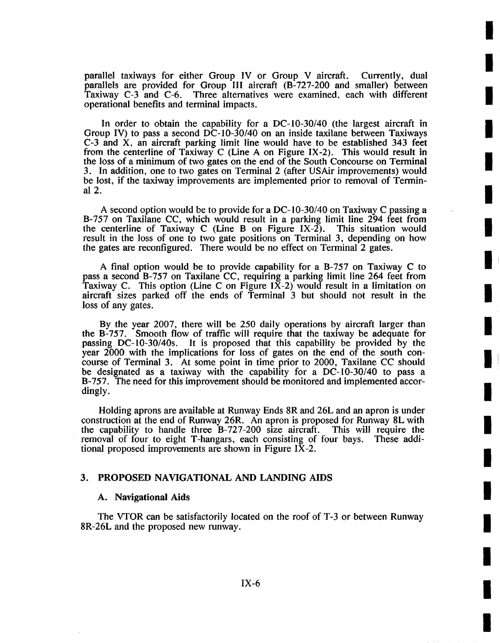parallel taxiways for either Group IV or Group V aircraft. Currently, dual parallels are provided for Group III aircraft (B-727-200 and smaller) between Taxiway C-3 and C-6. Three alternatives were examined, each with different operational benefits and terminal impacts.

**I** 

**I** 

**I** 

**i** 

**I** 

**I** 

**!** 

**!** 

**I** 

**I** 

I!

**i** 

**I** 

**I** 

**I** 

**I** 

**i** 

**i** 

**i** 

In order to obtain the capability for a DC-10-30/40 (the largest aircraft in Group IV) to pass a second  $\overline{DC}$ -10-30/40 on an inside taxilane between Taxiways C-3 and X, an aircraft parking limit line would have to be established 343 feet from the centerline of Taxiway C (Line A on Figure IX-2). This would result in the loss of a minimum of two gates on the end of the South Concourse on Terminal 3. In addition, one to two gates on Terminal 2 (after USAir improvements) would be lost, if the taxiway improvements are implemented prior to removal of Terminal2.

A second option would be to provide for a DC- 10-30/40 on Taxiway C passing a B-757 on Taxilane CC, which would result in a parking limit line 294 feet from<br>the centerline of Taxiway C (Line B on Figure IX-2). This situation would the centerline of Taxiway C (Line B on Figure IX-2). result in the loss of one to two gate positions on Terminal 3, depending on how the gates are reconfigured. There would be no effect on Terminal 2 gates.

A final option would be to provide capability for a B-757 on Taxiway C to pass a second B-757 on Taxilane CC, requiring a parking limit line 264 feet from Taxiway C. This option (Line C on Figure IX-2) would result in a limitation on aircraft sizes parked off the ends of Terminal 3 but should not result in the loss of any gates.

By the year 2007, there will be 250 daily operations by aircraft larger than the B-757. Smooth flow of traffic will require that the taxiway be adequate for passing DC-10-30/40s. It is proposed that this capability be provided by the year 2000 with the implications for loss of gates on the end of the south concourse of Terminal 3. At some point in time prior to 2000, Taxilane CC should be designated as a taxiway with the capability for a DC-I0-30/40 to pass a B-757. The need for this improvement should be monitored and implemented accordingly.

Holding aprons are available at Runway Ends 8R and 26L and an apron is under construction at the end of Runway 26R. An apron is proposed for Runway 8L with the capability to handle three B-727-200 size aircraft. This will require the removal of four to eight T-hangars, each consisting of four bays. These additional proposed improvements are shown in Figure IX-2.

# 3. PROPOSED NAVIGATIONAL AND LANDING AIDS

#### **A.** Navigational Aids

The VTOR can be satisfactorily located on the roof of T-3 or between Runway 8R-26L and the proposed new runway.